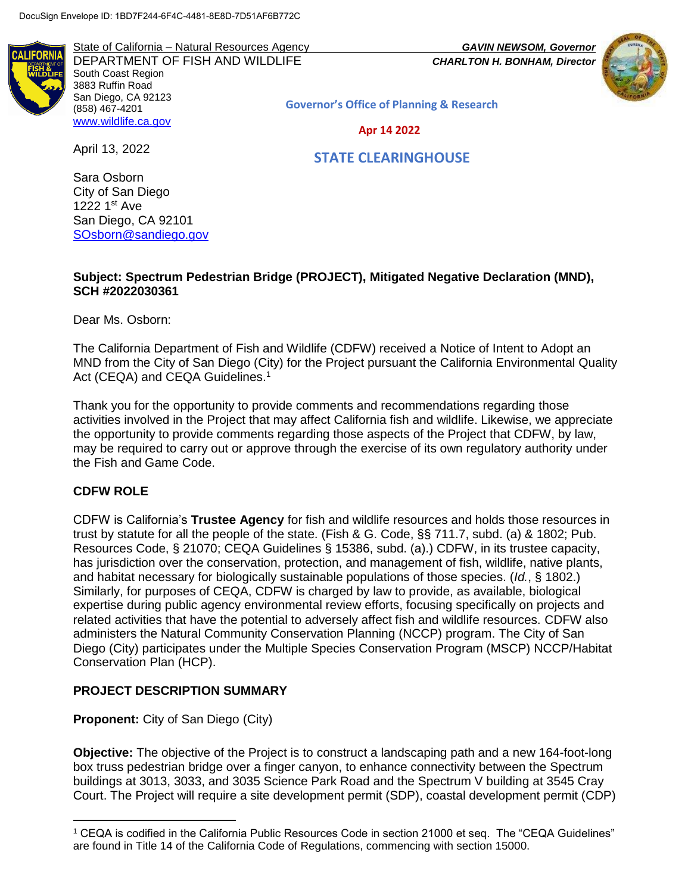State of California – Natural Resources Agency *GAVIN NEWSOM, Governor* DEPARTMENT OF FISH AND WILDLIFE *CHARLTON H. BONHAM, Director*  South Coast Region 3883 Ruffin Road San Diego, CA 92123 (858) 467-4201 [www.wildlife.ca.gov](http://www.wildlife.ca.gov/)



Governor's Office of Planning & Research

Apr 14 2022

April 13, 2022

STATE CLEARINGHOUSE

Sara Osborn City of San Diego 1222 1st Ave San Diego, CA 92101 [SOsborn@sandiego.gov](mailto:SOsborn@sandiego.gov)

#### **Subject: Spectrum Pedestrian Bridge (PROJECT), Mitigated Negative Declaration (MND), SCH #2022030361**

Dear Ms. Osborn:

The California Department of Fish and Wildlife (CDFW) received a Notice of Intent to Adopt an MND from the City of San Diego (City) for the Project pursuant the California Environmental Quality Act (CEQA) and CEQA Guidelines.<sup>1</sup>

Thank you for the opportunity to provide comments and recommendations regarding those activities involved in the Project that may affect California fish and wildlife. Likewise, we appreciate the opportunity to provide comments regarding those aspects of the Project that CDFW, by law, may be required to carry out or approve through the exercise of its own regulatory authority under the Fish and Game Code.

### **CDFW ROLE**

l

CDFW is California's **Trustee Agency** for fish and wildlife resources and holds those resources in trust by statute for all the people of the state. (Fish & G. Code, §§ 711.7, subd. (a) & 1802; Pub. Resources Code, § 21070; CEQA Guidelines § 15386, subd. (a).) CDFW, in its trustee capacity, has jurisdiction over the conservation, protection, and management of fish, wildlife, native plants, and habitat necessary for biologically sustainable populations of those species. (*Id.*, § 1802.) Similarly, for purposes of CEQA, CDFW is charged by law to provide, as available, biological expertise during public agency environmental review efforts, focusing specifically on projects and related activities that have the potential to adversely affect fish and wildlife resources. CDFW also administers the Natural Community Conservation Planning (NCCP) program. The City of San Diego (City) participates under the Multiple Species Conservation Program (MSCP) NCCP/Habitat Conservation Plan (HCP).

# **PROJECT DESCRIPTION SUMMARY**

**Proponent:** City of San Diego (City)

**Objective:** The objective of the Project is to construct a landscaping path and a new 164-foot-long box truss pedestrian bridge over a finger canyon, to enhance connectivity between the Spectrum buildings at 3013, 3033, and 3035 Science Park Road and the Spectrum V building at 3545 Cray Court. The Project will require a site development permit (SDP), coastal development permit (CDP)

<sup>1</sup> CEQA is codified in the California Public Resources Code in section 21000 et seq. The "CEQA Guidelines" are found in Title 14 of the California Code of Regulations, commencing with section 15000.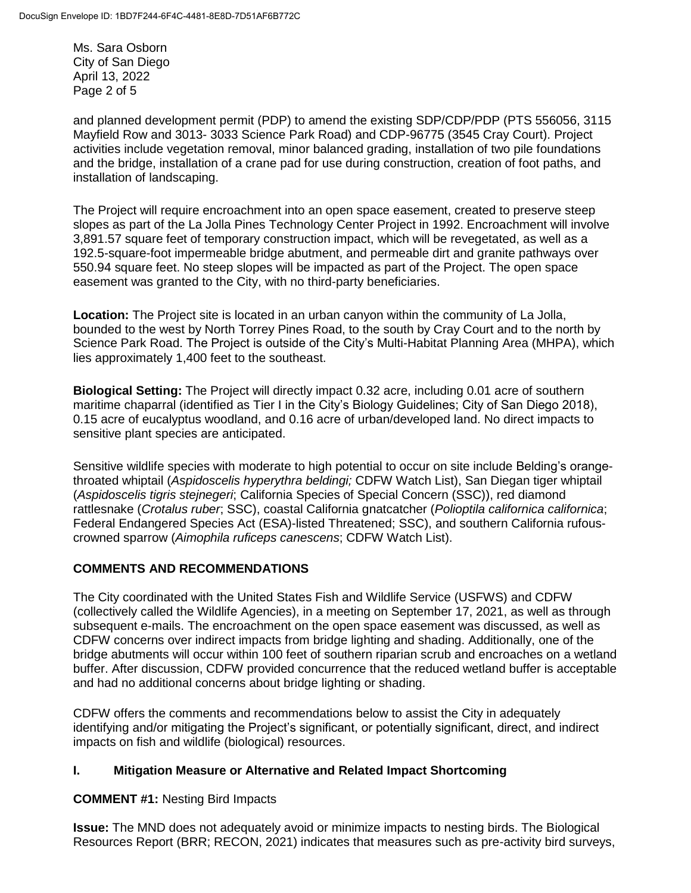Ms. Sara Osborn City of San Diego April 13, 2022 Page 2 of 5

and planned development permit (PDP) to amend the existing SDP/CDP/PDP (PTS 556056, 3115 Mayfield Row and 3013- 3033 Science Park Road) and CDP-96775 (3545 Cray Court). Project activities include vegetation removal, minor balanced grading, installation of two pile foundations and the bridge, installation of a crane pad for use during construction, creation of foot paths, and installation of landscaping.

The Project will require encroachment into an open space easement, created to preserve steep slopes as part of the La Jolla Pines Technology Center Project in 1992. Encroachment will involve 3,891.57 square feet of temporary construction impact, which will be revegetated, as well as a 192.5-square-foot impermeable bridge abutment, and permeable dirt and granite pathways over 550.94 square feet. No steep slopes will be impacted as part of the Project. The open space easement was granted to the City, with no third-party beneficiaries.

**Location:** The Project site is located in an urban canyon within the community of La Jolla, bounded to the west by North Torrey Pines Road, to the south by Cray Court and to the north by Science Park Road. The Project is outside of the City's Multi-Habitat Planning Area (MHPA), which lies approximately 1,400 feet to the southeast.

**Biological Setting:** The Project will directly impact 0.32 acre, including 0.01 acre of southern maritime chaparral (identified as Tier I in the City's Biology Guidelines; City of San Diego 2018), 0.15 acre of eucalyptus woodland, and 0.16 acre of urban/developed land. No direct impacts to sensitive plant species are anticipated.

Sensitive wildlife species with moderate to high potential to occur on site include Belding's orangethroated whiptail (*Aspidoscelis hyperythra beldingi;* CDFW Watch List), San Diegan tiger whiptail (*Aspidoscelis tigris stejnegeri*; California Species of Special Concern (SSC)), red diamond rattlesnake (*Crotalus ruber*; SSC), coastal California gnatcatcher (*Polioptila californica californica*; Federal Endangered Species Act (ESA)-listed Threatened; SSC), and southern California rufouscrowned sparrow (*Aimophila ruficeps canescens*; CDFW Watch List).

### **COMMENTS AND RECOMMENDATIONS**

The City coordinated with the United States Fish and Wildlife Service (USFWS) and CDFW (collectively called the Wildlife Agencies), in a meeting on September 17, 2021, as well as through subsequent e-mails. The encroachment on the open space easement was discussed, as well as CDFW concerns over indirect impacts from bridge lighting and shading. Additionally, one of the bridge abutments will occur within 100 feet of southern riparian scrub and encroaches on a wetland buffer. After discussion, CDFW provided concurrence that the reduced wetland buffer is acceptable and had no additional concerns about bridge lighting or shading.

CDFW offers the comments and recommendations below to assist the City in adequately identifying and/or mitigating the Project's significant, or potentially significant, direct, and indirect impacts on fish and wildlife (biological) resources.

# **I. Mitigation Measure or Alternative and Related Impact Shortcoming**

### **COMMENT #1:** Nesting Bird Impacts

**Issue:** The MND does not adequately avoid or minimize impacts to nesting birds. The Biological Resources Report (BRR; RECON, 2021) indicates that measures such as pre-activity bird surveys,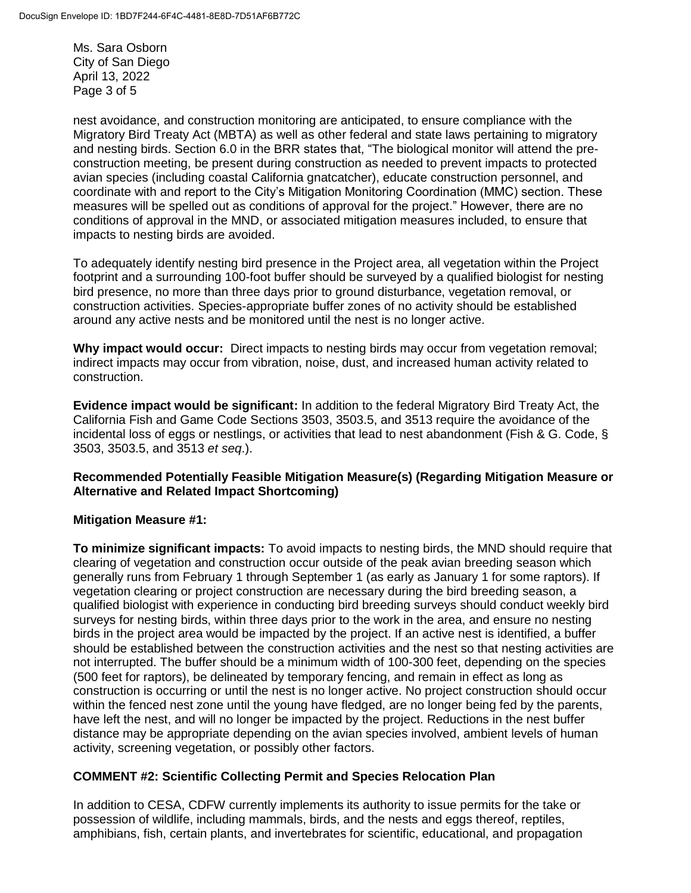Ms. Sara Osborn City of San Diego April 13, 2022 Page 3 of 5

nest avoidance, and construction monitoring are anticipated, to ensure compliance with the Migratory Bird Treaty Act (MBTA) as well as other federal and state laws pertaining to migratory and nesting birds. Section 6.0 in the BRR states that, "The biological monitor will attend the preconstruction meeting, be present during construction as needed to prevent impacts to protected avian species (including coastal California gnatcatcher), educate construction personnel, and coordinate with and report to the City's Mitigation Monitoring Coordination (MMC) section. These measures will be spelled out as conditions of approval for the project." However, there are no conditions of approval in the MND, or associated mitigation measures included, to ensure that impacts to nesting birds are avoided.

To adequately identify nesting bird presence in the Project area, all vegetation within the Project footprint and a surrounding 100-foot buffer should be surveyed by a qualified biologist for nesting bird presence, no more than three days prior to ground disturbance, vegetation removal, or construction activities. Species-appropriate buffer zones of no activity should be established around any active nests and be monitored until the nest is no longer active.

**Why impact would occur:** Direct impacts to nesting birds may occur from vegetation removal; indirect impacts may occur from vibration, noise, dust, and increased human activity related to construction.

**Evidence impact would be significant:** In addition to the federal Migratory Bird Treaty Act, the California Fish and Game Code Sections 3503, 3503.5, and 3513 require the avoidance of the incidental loss of eggs or nestlings, or activities that lead to nest abandonment (Fish & G. Code, § 3503, 3503.5, and 3513 *et seq*.).

### **Recommended Potentially Feasible Mitigation Measure(s) (Regarding Mitigation Measure or Alternative and Related Impact Shortcoming)**

### **Mitigation Measure #1:**

**To minimize significant impacts:** To avoid impacts to nesting birds, the MND should require that clearing of vegetation and construction occur outside of the peak avian breeding season which generally runs from February 1 through September 1 (as early as January 1 for some raptors). If vegetation clearing or project construction are necessary during the bird breeding season, a qualified biologist with experience in conducting bird breeding surveys should conduct weekly bird surveys for nesting birds, within three days prior to the work in the area, and ensure no nesting birds in the project area would be impacted by the project. If an active nest is identified, a buffer should be established between the construction activities and the nest so that nesting activities are not interrupted. The buffer should be a minimum width of 100-300 feet, depending on the species (500 feet for raptors), be delineated by temporary fencing, and remain in effect as long as construction is occurring or until the nest is no longer active. No project construction should occur within the fenced nest zone until the young have fledged, are no longer being fed by the parents, have left the nest, and will no longer be impacted by the project. Reductions in the nest buffer distance may be appropriate depending on the avian species involved, ambient levels of human activity, screening vegetation, or possibly other factors.

### **COMMENT #2: Scientific Collecting Permit and Species Relocation Plan**

In addition to CESA, CDFW currently implements its authority to issue permits for the take or possession of wildlife, including mammals, birds, and the nests and eggs thereof, reptiles, amphibians, fish, certain plants, and invertebrates for scientific, educational, and propagation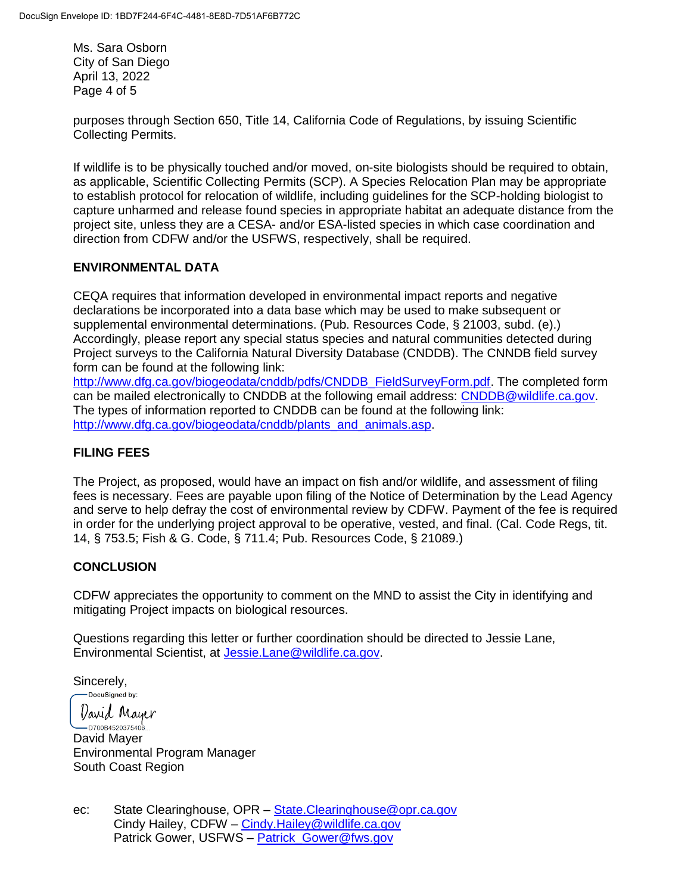Ms. Sara Osborn City of San Diego April 13, 2022 Page 4 of 5

purposes through Section 650, Title 14, California Code of Regulations, by issuing Scientific Collecting Permits.

If wildlife is to be physically touched and/or moved, on-site biologists should be required to obtain, as applicable, Scientific Collecting Permits (SCP). A Species Relocation Plan may be appropriate to establish protocol for relocation of wildlife, including guidelines for the SCP-holding biologist to capture unharmed and release found species in appropriate habitat an adequate distance from the project site, unless they are a CESA- and/or ESA-listed species in which case coordination and direction from CDFW and/or the USFWS, respectively, shall be required.

# **ENVIRONMENTAL DATA**

CEQA requires that information developed in environmental impact reports and negative declarations be incorporated into a data base which may be used to make subsequent or supplemental environmental determinations. (Pub. Resources Code, § 21003, subd. (e).) Accordingly, please report any special status species and natural communities detected during Project surveys to the California Natural Diversity Database (CNDDB). The CNNDB field survey form can be found at the following link:

[http://www.dfg.ca.gov/biogeodata/cnddb/pdfs/CNDDB\\_FieldSurveyForm.pdf.](http://www.dfg.ca.gov/biogeodata/cnddb/pdfs/CNDDB_FieldSurveyForm.pdf) The completed form can be mailed electronically to CNDDB at the following email address: [CNDDB@wildlife.ca.gov.](mailto:cnddb@dfg.ca.gov) The types of information reported to CNDDB can be found at the following link: [http://www.dfg.ca.gov/biogeodata/cnddb/plants\\_and\\_animals.asp.](http://www.dfg.ca.gov/biogeodata/cnddb/plants_and_animals.asp)

## **FILING FEES**

The Project, as proposed, would have an impact on fish and/or wildlife, and assessment of filing fees is necessary. Fees are payable upon filing of the Notice of Determination by the Lead Agency and serve to help defray the cost of environmental review by CDFW. Payment of the fee is required in order for the underlying project approval to be operative, vested, and final. (Cal. Code Regs, tit. 14, § 753.5; Fish & G. Code, § 711.4; Pub. Resources Code, § 21089.)

### **CONCLUSION**

CDFW appreciates the opportunity to comment on the MND to assist the City in identifying and mitigating Project impacts on biological resources.

Questions regarding this letter or further coordination should be directed to Jessie Lane, Environmental Scientist, at [Jessie.Lane@wildlife.ca.gov.](mailto:Jessie.Lane@wildlife.ca.gov)

Sincerely,<br>
Sincerely,

*Varid* Mayer ]<br>...D700B4520375406 David Mayer Environmental Program Manager South Coast Region

ec: State Clearinghouse, OPR – [State.Clearinghouse@opr.ca.gov](mailto:State.Clearinghouse@opr.ca.gov) Cindy Hailey, CDFW – [Cindy.Hailey@wildlife.ca.gov](mailto:Cindy.Hailey@wildlife.ca.gov) Patrick Gower, USFWS – [Patrick\\_Gower@fws.gov](mailto:Patrick_Gower@fws.gov)